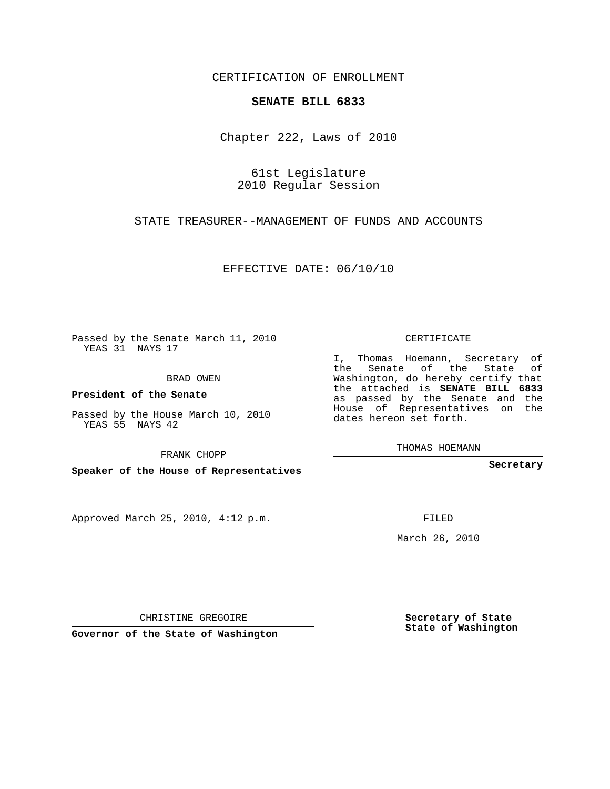## CERTIFICATION OF ENROLLMENT

### **SENATE BILL 6833**

Chapter 222, Laws of 2010

61st Legislature 2010 Regular Session

STATE TREASURER--MANAGEMENT OF FUNDS AND ACCOUNTS

EFFECTIVE DATE: 06/10/10

Passed by the Senate March 11, 2010 YEAS 31 NAYS 17

BRAD OWEN

**President of the Senate**

YEAS 55 NAYS 42

FRANK CHOPP

**Speaker of the House of Representatives**

Approved March 25, 2010, 4:12 p.m.

CERTIFICATE

I, Thomas Hoemann, Secretary of the Senate of the State of Washington, do hereby certify that the attached is **SENATE BILL 6833** as passed by the Senate and the House of Representatives on the dates hereon set forth.

THOMAS HOEMANN

**Secretary**

March 26, 2010

**Secretary of State State of Washington**

CHRISTINE GREGOIRE

**Governor of the State of Washington**

Passed by the House March 10, 2010

FILED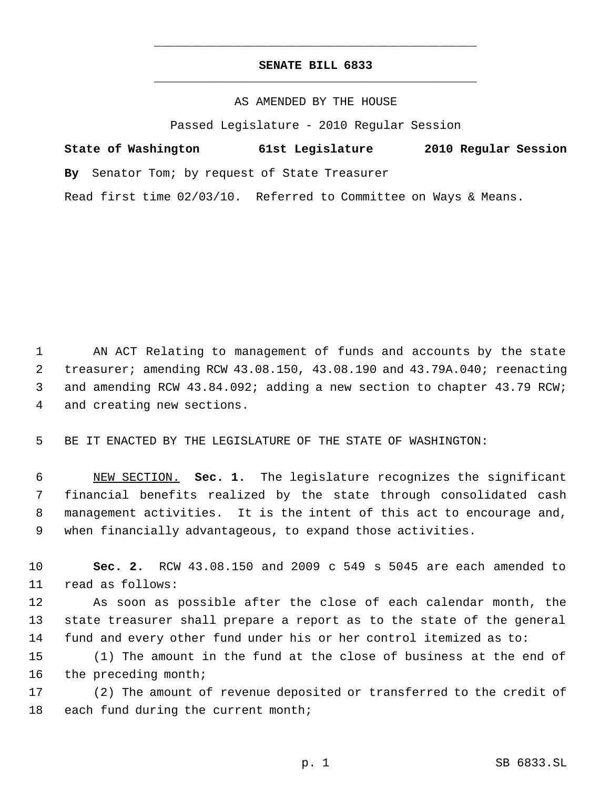# **SENATE BILL 6833** \_\_\_\_\_\_\_\_\_\_\_\_\_\_\_\_\_\_\_\_\_\_\_\_\_\_\_\_\_\_\_\_\_\_\_\_\_\_\_\_\_\_\_\_\_

\_\_\_\_\_\_\_\_\_\_\_\_\_\_\_\_\_\_\_\_\_\_\_\_\_\_\_\_\_\_\_\_\_\_\_\_\_\_\_\_\_\_\_\_\_

## AS AMENDED BY THE HOUSE

Passed Legislature - 2010 Regular Session

|  | State of Washington | 61st Legislature | 2010 Regular Session |  |
|--|---------------------|------------------|----------------------|--|
|  |                     |                  |                      |  |

**By** Senator Tom; by request of State Treasurer

Read first time 02/03/10. Referred to Committee on Ways & Means.

 AN ACT Relating to management of funds and accounts by the state treasurer; amending RCW 43.08.150, 43.08.190 and 43.79A.040; reenacting and amending RCW 43.84.092; adding a new section to chapter 43.79 RCW; and creating new sections.

5 BE IT ENACTED BY THE LEGISLATURE OF THE STATE OF WASHINGTON:

 NEW SECTION. **Sec. 1.** The legislature recognizes the significant financial benefits realized by the state through consolidated cash management activities. It is the intent of this act to encourage and, when financially advantageous, to expand those activities.

10 **Sec. 2.** RCW 43.08.150 and 2009 c 549 s 5045 are each amended to 11 read as follows:

12 As soon as possible after the close of each calendar month, the 13 state treasurer shall prepare a report as to the state of the general 14 fund and every other fund under his or her control itemized as to:

15 (1) The amount in the fund at the close of business at the end of 16 the preceding month;

17 (2) The amount of revenue deposited or transferred to the credit of 18 each fund during the current month;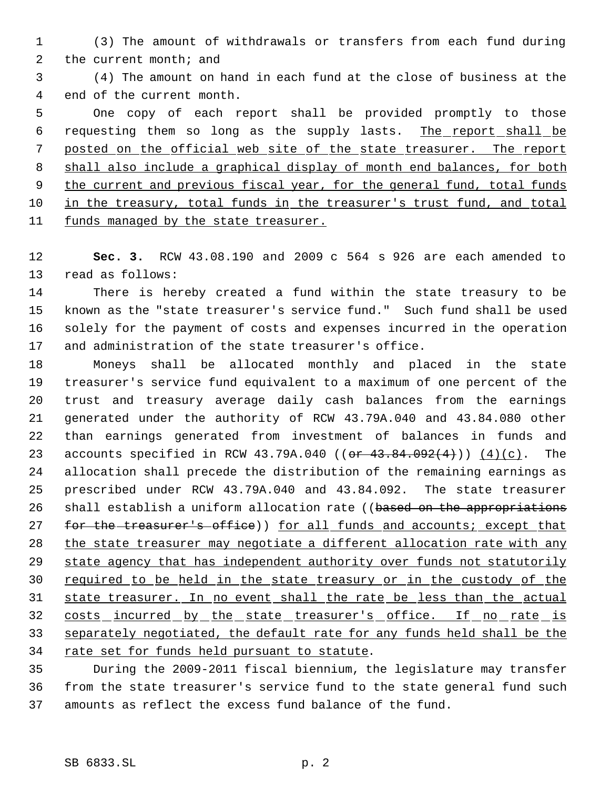(3) The amount of withdrawals or transfers from each fund during the current month; and

 (4) The amount on hand in each fund at the close of business at the end of the current month.

 One copy of each report shall be provided promptly to those 6 requesting them so long as the supply lasts. The report shall be posted on the official web site of the state treasurer. The report shall also include a graphical display of month end balances, for both 9 the current and previous fiscal year, for the general fund, total funds in the treasury, total funds in the treasurer's trust fund, and total 11 funds managed by the state treasurer.

 **Sec. 3.** RCW 43.08.190 and 2009 c 564 s 926 are each amended to read as follows:

 There is hereby created a fund within the state treasury to be known as the "state treasurer's service fund." Such fund shall be used solely for the payment of costs and expenses incurred in the operation and administration of the state treasurer's office.

 Moneys shall be allocated monthly and placed in the state treasurer's service fund equivalent to a maximum of one percent of the trust and treasury average daily cash balances from the earnings generated under the authority of RCW 43.79A.040 and 43.84.080 other than earnings generated from investment of balances in funds and 23 accounts specified in RCW 43.79A.040 (( $or$  43.84.092(4)))  $(4)(c)$ . The allocation shall precede the distribution of the remaining earnings as prescribed under RCW 43.79A.040 and 43.84.092. The state treasurer 26 shall establish a uniform allocation rate ((based on the appropriations 27 for the treasurer's office)) for all funds and accounts; except that 28 the state treasurer may negotiate a different allocation rate with any 29 state agency that has independent authority over funds not statutorily required to be held in the state treasury or in the custody of the state treasurer. In no event shall the rate be less than the actual 32 costs incurred by the state treasurer's office. If no rate is 33 separately negotiated, the default rate for any funds held shall be the 34 rate set for funds held pursuant to statute.

 During the 2009-2011 fiscal biennium, the legislature may transfer from the state treasurer's service fund to the state general fund such amounts as reflect the excess fund balance of the fund.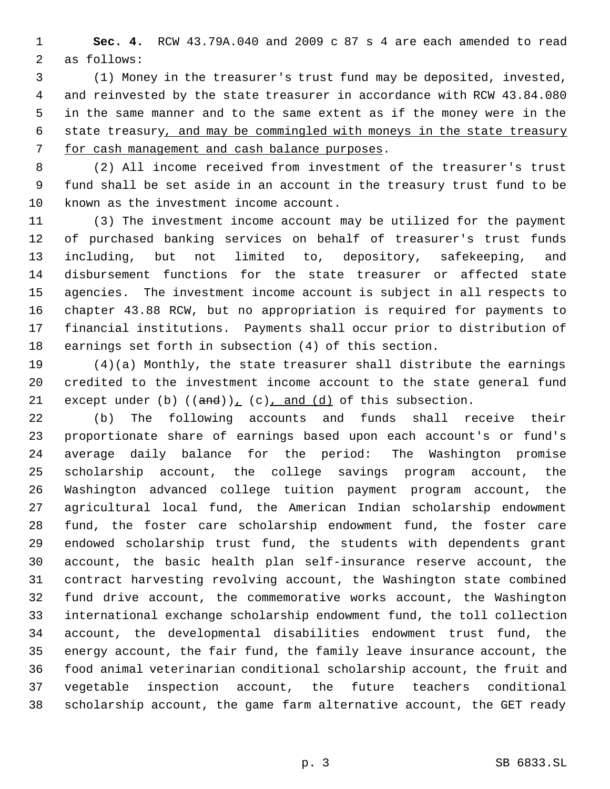**Sec. 4.** RCW 43.79A.040 and 2009 c 87 s 4 are each amended to read as follows:

 (1) Money in the treasurer's trust fund may be deposited, invested, and reinvested by the state treasurer in accordance with RCW 43.84.080 in the same manner and to the same extent as if the money were in the state treasury, and may be commingled with moneys in the state treasury for cash management and cash balance purposes.

 (2) All income received from investment of the treasurer's trust fund shall be set aside in an account in the treasury trust fund to be known as the investment income account.

 (3) The investment income account may be utilized for the payment of purchased banking services on behalf of treasurer's trust funds including, but not limited to, depository, safekeeping, and disbursement functions for the state treasurer or affected state agencies. The investment income account is subject in all respects to chapter 43.88 RCW, but no appropriation is required for payments to financial institutions. Payments shall occur prior to distribution of earnings set forth in subsection (4) of this section.

 (4)(a) Monthly, the state treasurer shall distribute the earnings credited to the investment income account to the state general fund 21 except under (b)  $((and))_+(c)_+$  and  $(d)$  of this subsection.

 (b) The following accounts and funds shall receive their proportionate share of earnings based upon each account's or fund's average daily balance for the period: The Washington promise scholarship account, the college savings program account, the Washington advanced college tuition payment program account, the agricultural local fund, the American Indian scholarship endowment fund, the foster care scholarship endowment fund, the foster care endowed scholarship trust fund, the students with dependents grant account, the basic health plan self-insurance reserve account, the contract harvesting revolving account, the Washington state combined fund drive account, the commemorative works account, the Washington international exchange scholarship endowment fund, the toll collection account, the developmental disabilities endowment trust fund, the energy account, the fair fund, the family leave insurance account, the food animal veterinarian conditional scholarship account, the fruit and vegetable inspection account, the future teachers conditional scholarship account, the game farm alternative account, the GET ready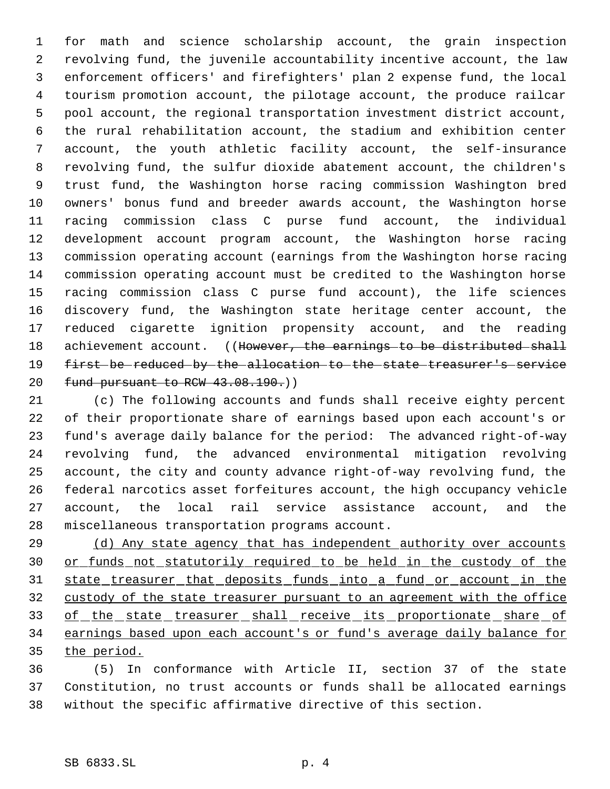for math and science scholarship account, the grain inspection revolving fund, the juvenile accountability incentive account, the law enforcement officers' and firefighters' plan 2 expense fund, the local tourism promotion account, the pilotage account, the produce railcar pool account, the regional transportation investment district account, the rural rehabilitation account, the stadium and exhibition center account, the youth athletic facility account, the self-insurance revolving fund, the sulfur dioxide abatement account, the children's trust fund, the Washington horse racing commission Washington bred owners' bonus fund and breeder awards account, the Washington horse racing commission class C purse fund account, the individual development account program account, the Washington horse racing commission operating account (earnings from the Washington horse racing commission operating account must be credited to the Washington horse racing commission class C purse fund account), the life sciences discovery fund, the Washington state heritage center account, the reduced cigarette ignition propensity account, and the reading 18 achievement account. ((However, the earnings to be distributed shall first be reduced by the allocation to the state treasurer's service 20 fund pursuant to RCW 43.08.190.)

 (c) The following accounts and funds shall receive eighty percent of their proportionate share of earnings based upon each account's or fund's average daily balance for the period: The advanced right-of-way revolving fund, the advanced environmental mitigation revolving account, the city and county advance right-of-way revolving fund, the federal narcotics asset forfeitures account, the high occupancy vehicle account, the local rail service assistance account, and the miscellaneous transportation programs account.

29 (d) Any state agency that has independent authority over accounts or funds not statutorily required to be held in the custody of the state treasurer that deposits funds into a fund or account in the 32 custody of the state treasurer pursuant to an agreement with the office 33 of the state treasurer shall receive its proportionate share of earnings based upon each account's or fund's average daily balance for the period.

 (5) In conformance with Article II, section 37 of the state Constitution, no trust accounts or funds shall be allocated earnings without the specific affirmative directive of this section.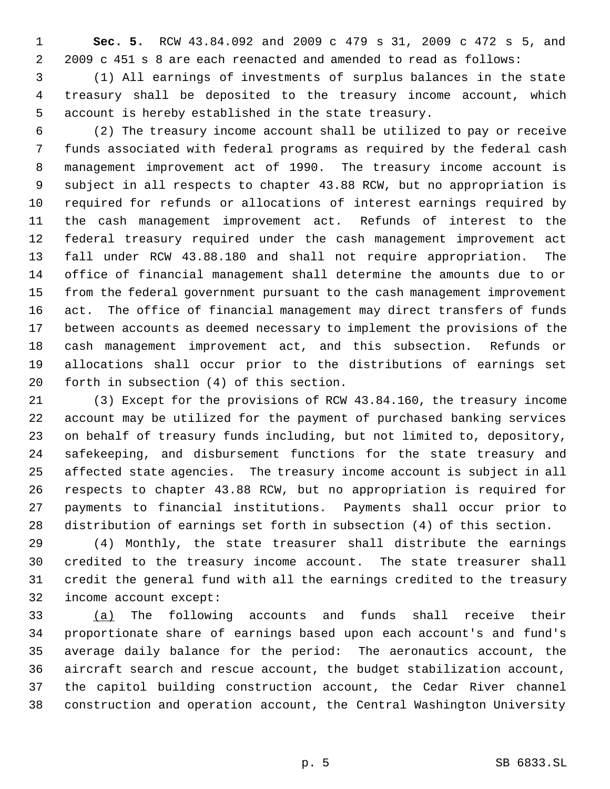**Sec. 5.** RCW 43.84.092 and 2009 c 479 s 31, 2009 c 472 s 5, and 2009 c 451 s 8 are each reenacted and amended to read as follows:

 (1) All earnings of investments of surplus balances in the state treasury shall be deposited to the treasury income account, which account is hereby established in the state treasury.

 (2) The treasury income account shall be utilized to pay or receive funds associated with federal programs as required by the federal cash management improvement act of 1990. The treasury income account is subject in all respects to chapter 43.88 RCW, but no appropriation is required for refunds or allocations of interest earnings required by the cash management improvement act. Refunds of interest to the federal treasury required under the cash management improvement act fall under RCW 43.88.180 and shall not require appropriation. The office of financial management shall determine the amounts due to or from the federal government pursuant to the cash management improvement act. The office of financial management may direct transfers of funds between accounts as deemed necessary to implement the provisions of the cash management improvement act, and this subsection. Refunds or allocations shall occur prior to the distributions of earnings set forth in subsection (4) of this section.

 (3) Except for the provisions of RCW 43.84.160, the treasury income account may be utilized for the payment of purchased banking services on behalf of treasury funds including, but not limited to, depository, safekeeping, and disbursement functions for the state treasury and affected state agencies. The treasury income account is subject in all respects to chapter 43.88 RCW, but no appropriation is required for payments to financial institutions. Payments shall occur prior to distribution of earnings set forth in subsection (4) of this section.

 (4) Monthly, the state treasurer shall distribute the earnings credited to the treasury income account. The state treasurer shall credit the general fund with all the earnings credited to the treasury income account except:

 (a) The following accounts and funds shall receive their proportionate share of earnings based upon each account's and fund's average daily balance for the period: The aeronautics account, the aircraft search and rescue account, the budget stabilization account, the capitol building construction account, the Cedar River channel construction and operation account, the Central Washington University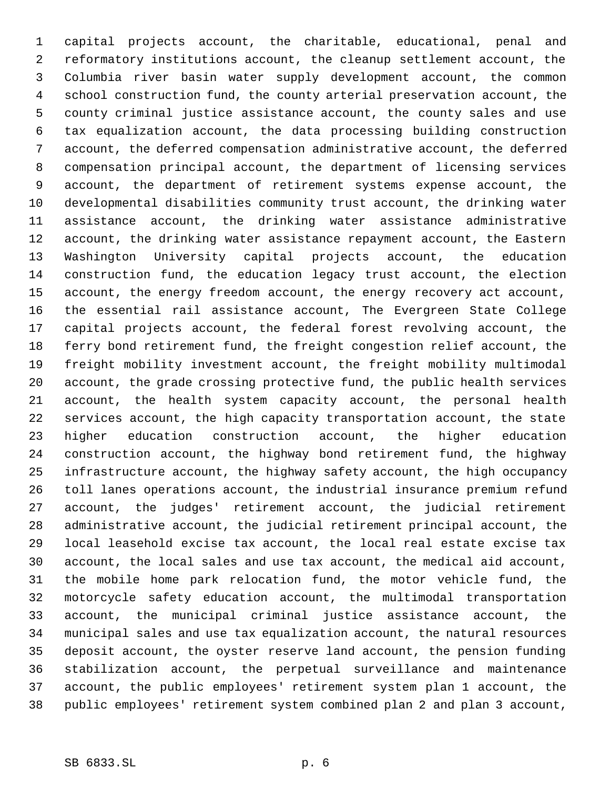capital projects account, the charitable, educational, penal and reformatory institutions account, the cleanup settlement account, the Columbia river basin water supply development account, the common school construction fund, the county arterial preservation account, the county criminal justice assistance account, the county sales and use tax equalization account, the data processing building construction account, the deferred compensation administrative account, the deferred compensation principal account, the department of licensing services account, the department of retirement systems expense account, the developmental disabilities community trust account, the drinking water assistance account, the drinking water assistance administrative account, the drinking water assistance repayment account, the Eastern Washington University capital projects account, the education construction fund, the education legacy trust account, the election account, the energy freedom account, the energy recovery act account, the essential rail assistance account, The Evergreen State College capital projects account, the federal forest revolving account, the ferry bond retirement fund, the freight congestion relief account, the freight mobility investment account, the freight mobility multimodal account, the grade crossing protective fund, the public health services account, the health system capacity account, the personal health services account, the high capacity transportation account, the state higher education construction account, the higher education construction account, the highway bond retirement fund, the highway infrastructure account, the highway safety account, the high occupancy toll lanes operations account, the industrial insurance premium refund account, the judges' retirement account, the judicial retirement administrative account, the judicial retirement principal account, the local leasehold excise tax account, the local real estate excise tax account, the local sales and use tax account, the medical aid account, the mobile home park relocation fund, the motor vehicle fund, the motorcycle safety education account, the multimodal transportation account, the municipal criminal justice assistance account, the municipal sales and use tax equalization account, the natural resources deposit account, the oyster reserve land account, the pension funding stabilization account, the perpetual surveillance and maintenance account, the public employees' retirement system plan 1 account, the public employees' retirement system combined plan 2 and plan 3 account,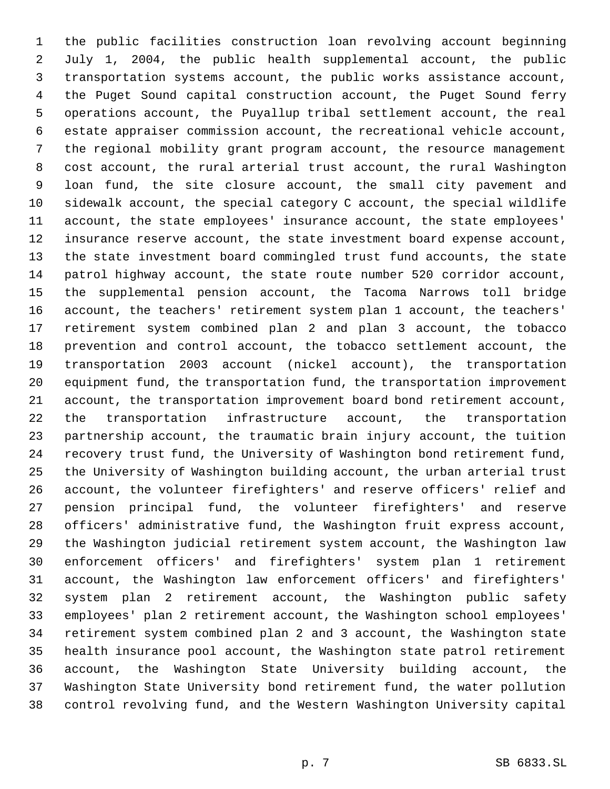the public facilities construction loan revolving account beginning July 1, 2004, the public health supplemental account, the public transportation systems account, the public works assistance account, the Puget Sound capital construction account, the Puget Sound ferry operations account, the Puyallup tribal settlement account, the real estate appraiser commission account, the recreational vehicle account, the regional mobility grant program account, the resource management cost account, the rural arterial trust account, the rural Washington loan fund, the site closure account, the small city pavement and sidewalk account, the special category C account, the special wildlife account, the state employees' insurance account, the state employees' insurance reserve account, the state investment board expense account, the state investment board commingled trust fund accounts, the state patrol highway account, the state route number 520 corridor account, the supplemental pension account, the Tacoma Narrows toll bridge account, the teachers' retirement system plan 1 account, the teachers' retirement system combined plan 2 and plan 3 account, the tobacco prevention and control account, the tobacco settlement account, the transportation 2003 account (nickel account), the transportation equipment fund, the transportation fund, the transportation improvement account, the transportation improvement board bond retirement account, the transportation infrastructure account, the transportation partnership account, the traumatic brain injury account, the tuition recovery trust fund, the University of Washington bond retirement fund, the University of Washington building account, the urban arterial trust account, the volunteer firefighters' and reserve officers' relief and pension principal fund, the volunteer firefighters' and reserve officers' administrative fund, the Washington fruit express account, the Washington judicial retirement system account, the Washington law enforcement officers' and firefighters' system plan 1 retirement account, the Washington law enforcement officers' and firefighters' system plan 2 retirement account, the Washington public safety employees' plan 2 retirement account, the Washington school employees' retirement system combined plan 2 and 3 account, the Washington state health insurance pool account, the Washington state patrol retirement account, the Washington State University building account, the Washington State University bond retirement fund, the water pollution control revolving fund, and the Western Washington University capital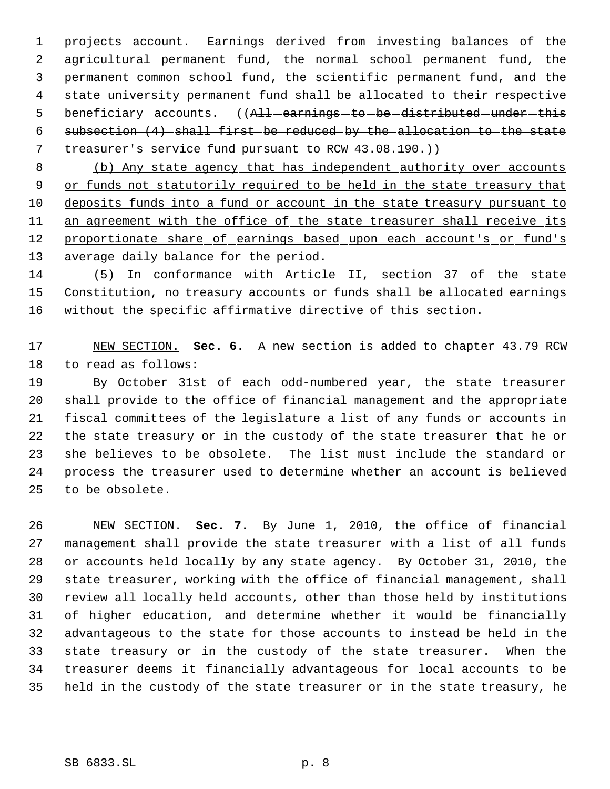projects account. Earnings derived from investing balances of the agricultural permanent fund, the normal school permanent fund, the permanent common school fund, the scientific permanent fund, and the state university permanent fund shall be allocated to their respective 5 beneficiary accounts. ((All-earnings-to-be-distributed-under-this subsection (4) shall first be reduced by the allocation to the state treasurer's service fund pursuant to RCW 43.08.190.))

 (b) Any state agency that has independent authority over accounts 9 or funds not statutorily required to be held in the state treasury that deposits funds into a fund or account in the state treasury pursuant to 11 an agreement with the office of the state treasurer shall receive its 12 proportionate share of earnings based upon each account's or fund's 13 average daily balance for the period.

 (5) In conformance with Article II, section 37 of the state Constitution, no treasury accounts or funds shall be allocated earnings without the specific affirmative directive of this section.

 NEW SECTION. **Sec. 6.** A new section is added to chapter 43.79 RCW to read as follows:

 By October 31st of each odd-numbered year, the state treasurer shall provide to the office of financial management and the appropriate fiscal committees of the legislature a list of any funds or accounts in the state treasury or in the custody of the state treasurer that he or she believes to be obsolete. The list must include the standard or process the treasurer used to determine whether an account is believed to be obsolete.

 NEW SECTION. **Sec. 7.** By June 1, 2010, the office of financial management shall provide the state treasurer with a list of all funds or accounts held locally by any state agency. By October 31, 2010, the state treasurer, working with the office of financial management, shall review all locally held accounts, other than those held by institutions of higher education, and determine whether it would be financially advantageous to the state for those accounts to instead be held in the state treasury or in the custody of the state treasurer. When the treasurer deems it financially advantageous for local accounts to be held in the custody of the state treasurer or in the state treasury, he